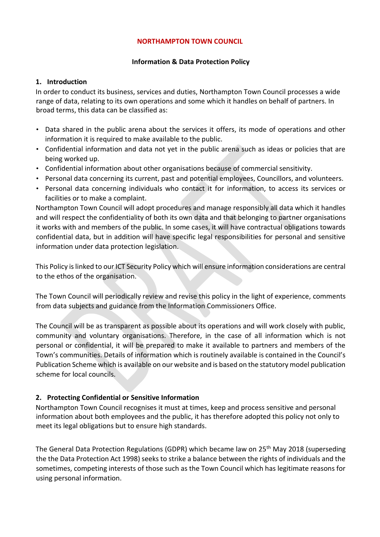### **NORTHAMPTON TOWN COUNCIL**

### **Information & Data Protection Policy**

### **1. Introduction**

In order to conduct its business, services and duties, Northampton Town Council processes a wide range of data, relating to its own operations and some which it handles on behalf of partners. In broad terms, this data can be classified as:

- Data shared in the public arena about the services it offers, its mode of operations and other information it is required to make available to the public.
- Confidential information and data not yet in the public arena such as ideas or policies that are being worked up.
- Confidential information about other organisations because of commercial sensitivity.
- Personal data concerning its current, past and potential employees, Councillors, and volunteers.
- Personal data concerning individuals who contact it for information, to access its services or facilities or to make a complaint.

Northampton Town Council will adopt procedures and manage responsibly all data which it handles and will respect the confidentiality of both its own data and that belonging to partner organisations it works with and members of the public. In some cases, it will have contractual obligations towards confidential data, but in addition will have specific legal responsibilities for personal and sensitive information under data protection legislation.

This Policy is linked to our ICT Security Policy which will ensure information considerations are central to the ethos of the organisation.

The Town Council will periodically review and revise this policy in the light of experience, comments from data subjects and guidance from the Information Commissioners Office.

The Council will be as transparent as possible about its operations and will work closely with public, community and voluntary organisations. Therefore, in the case of all information which is not personal or confidential, it will be prepared to make it available to partners and members of the Town's communities. Details of information which is routinely available is contained in the Council's Publication Scheme which is available on our website and is based on the statutory model publication scheme for local councils.

### **2. Protecting Confidential or Sensitive Information**

Northampton Town Council recognises it must at times, keep and process sensitive and personal information about both employees and the public, it has therefore adopted this policy not only to meet its legal obligations but to ensure high standards.

The General Data Protection Regulations (GDPR) which became law on 25<sup>th</sup> May 2018 (superseding the the Data Protection Act 1998) seeks to strike a balance between the rights of individuals and the sometimes, competing interests of those such as the Town Council which has legitimate reasons for using personal information.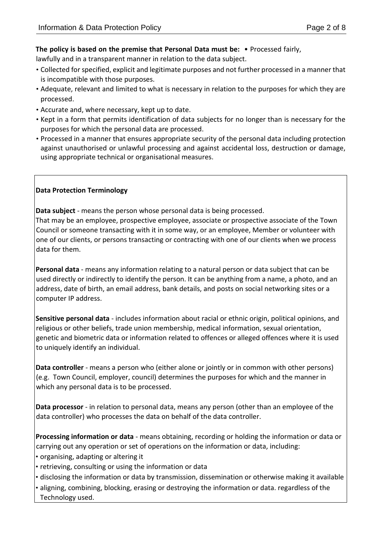### **The policy is based on the premise that Personal Data must be:** • Processed fairly,

lawfully and in a transparent manner in relation to the data subject.

- Collected for specified, explicit and legitimate purposes and not further processed in a manner that is incompatible with those purposes.
- Adequate, relevant and limited to what is necessary in relation to the purposes for which they are processed.
- Accurate and, where necessary, kept up to date.
- Kept in a form that permits identification of data subjects for no longer than is necessary for the purposes for which the personal data are processed.
- Processed in a manner that ensures appropriate security of the personal data including protection against unauthorised or unlawful processing and against accidental loss, destruction or damage, using appropriate technical or organisational measures.

# **Data Protection Terminology**

**Data subject** - means the person whose personal data is being processed.

That may be an employee, prospective employee, associate or prospective associate of the Town Council or someone transacting with it in some way, or an employee, Member or volunteer with one of our clients, or persons transacting or contracting with one of our clients when we process data for them.

**Personal data** - means any information relating to a natural person or data subject that can be used directly or indirectly to identify the person. It can be anything from a name, a photo, and an address, date of birth, an email address, bank details, and posts on social networking sites or a computer IP address.

**Sensitive personal data** - includes information about racial or ethnic origin, political opinions, and religious or other beliefs, trade union membership, medical information, sexual orientation, genetic and biometric data or information related to offences or alleged offences where it is used to uniquely identify an individual.

**Data controller** - means a person who (either alone or jointly or in common with other persons) (e.g. Town Council, employer, council) determines the purposes for which and the manner in which any personal data is to be processed.

**Data processor** - in relation to personal data, means any person (other than an employee of the data controller) who processes the data on behalf of the data controller.

**Processing information or data** - means obtaining, recording or holding the information or data or carrying out any operation or set of operations on the information or data, including:

- organising, adapting or altering it
- retrieving, consulting or using the information or data
- disclosing the information or data by transmission, dissemination or otherwise making it available
- aligning, combining, blocking, erasing or destroying the information or data. regardless of the Technology used.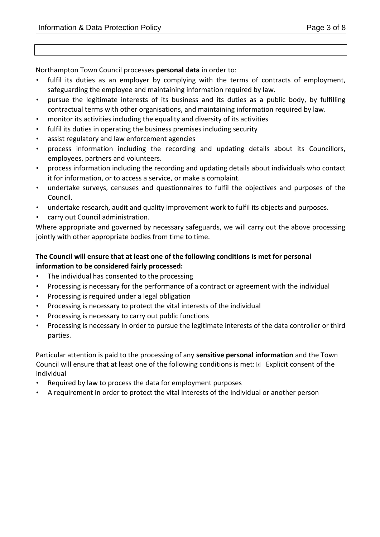Northampton Town Council processes **personal data** in order to:

- fulfil its duties as an employer by complying with the terms of contracts of employment, safeguarding the employee and maintaining information required by law.
- pursue the legitimate interests of its business and its duties as a public body, by fulfilling contractual terms with other organisations, and maintaining information required by law.
- monitor its activities including the equality and diversity of its activities
- fulfil its duties in operating the business premises including security
- assist regulatory and law enforcement agencies
- process information including the recording and updating details about its Councillors, employees, partners and volunteers.
- process information including the recording and updating details about individuals who contact it for information, or to access a service, or make a complaint.
- undertake surveys, censuses and questionnaires to fulfil the objectives and purposes of the Council.
- undertake research, audit and quality improvement work to fulfil its objects and purposes.
- carry out Council administration.

Where appropriate and governed by necessary safeguards, we will carry out the above processing jointly with other appropriate bodies from time to time.

# **The Council will ensure that at least one of the following conditions is met for personal information to be considered fairly processed:**

- The individual has consented to the processing
- Processing is necessary for the performance of a contract or agreement with the individual
- Processing is required under a legal obligation
- Processing is necessary to protect the vital interests of the individual
- Processing is necessary to carry out public functions
- Processing is necessary in order to pursue the legitimate interests of the data controller or third parties.

Particular attention is paid to the processing of any **sensitive personal information** and the Town Council will ensure that at least one of the following conditions is met:  $\mathbb D$  Explicit consent of the individual

- Required by law to process the data for employment purposes
- A requirement in order to protect the vital interests of the individual or another person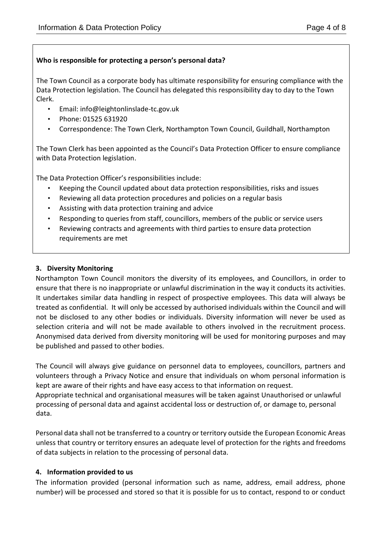# **Who is responsible for protecting a person's personal data?**

The Town Council as a corporate body has ultimate responsibility for ensuring compliance with the Data Protection legislation. The Council has delegated this responsibility day to day to the Town Clerk.

- Email: info@leightonlinslade-tc.gov.uk
- Phone: 01525 631920
- Correspondence: The Town Clerk, Northampton Town Council, Guildhall, Northampton

The Town Clerk has been appointed as the Council's Data Protection Officer to ensure compliance with Data Protection legislation.

The Data Protection Officer's responsibilities include:

- Keeping the Council updated about data protection responsibilities, risks and issues
- Reviewing all data protection procedures and policies on a regular basis
- Assisting with data protection training and advice
- Responding to queries from staff, councillors, members of the public or service users
- Reviewing contracts and agreements with third parties to ensure data protection requirements are met

# **3. Diversity Monitoring**

Northampton Town Council monitors the diversity of its employees, and Councillors, in order to ensure that there is no inappropriate or unlawful discrimination in the way it conducts its activities. It undertakes similar data handling in respect of prospective employees. This data will always be treated as confidential. It will only be accessed by authorised individuals within the Council and will not be disclosed to any other bodies or individuals. Diversity information will never be used as selection criteria and will not be made available to others involved in the recruitment process. Anonymised data derived from diversity monitoring will be used for monitoring purposes and may be published and passed to other bodies.

The Council will always give guidance on personnel data to employees, councillors, partners and volunteers through a Privacy Notice and ensure that individuals on whom personal information is kept are aware of their rights and have easy access to that information on request. Appropriate technical and organisational measures will be taken against Unauthorised or unlawful processing of personal data and against accidental loss or destruction of, or damage to, personal data.

Personal data shall not be transferred to a country or territory outside the European Economic Areas unless that country or territory ensures an adequate level of protection for the rights and freedoms of data subjects in relation to the processing of personal data.

# **4. Information provided to us**

The information provided (personal information such as name, address, email address, phone number) will be processed and stored so that it is possible for us to contact, respond to or conduct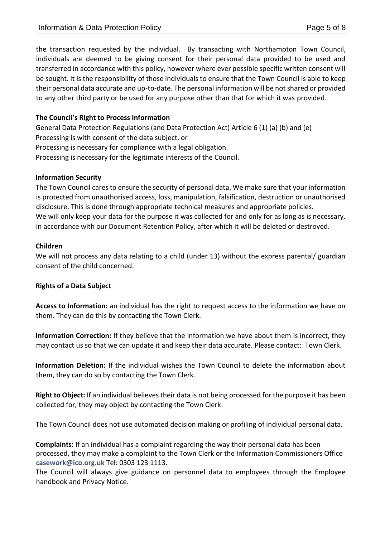the transaction requested by the individual. By transacting with Northampton Town Council, individuals are deemed to be giving consent for their personal data provided to be used and transferred in accordance with this policy, however where ever possible specific written consent will be sought. It is the responsibility of those individuals to ensure that the Town Council is able to keep their personal data accurate and up-to-date. The personal information will be not shared or provided to any other third party or be used for any purpose other than that for which it was provided.

# **The Council's Right to Process Information**

General Data Protection Regulations (and Data Protection Act) Article 6 (1) (a) (b) and (e) Processing is with consent of the data subject, or Processing is necessary for compliance with a legal obligation. Processing is necessary for the legitimate interests of the Council.

### **Information Security**

The Town Council cares to ensure the security of personal data. We make sure that your information is protected from unauthorised access, loss, manipulation, falsification, destruction or unauthorised disclosure. This is done through appropriate technical measures and appropriate policies. We will only keep your data for the purpose it was collected for and only for as long as is necessary, in accordance with our Document Retention Policy, after which it will be deleted or destroyed.

### **Children**

We will not process any data relating to a child (under 13) without the express parental/ guardian consent of the child concerned.

### **Rights of a Data Subject**

**Access to Information:** an individual has the right to request access to the information we have on them. They can do this by contacting the Town Clerk.

**Information Correction:** If they believe that the information we have about them is incorrect, they may contact us so that we can update it and keep their data accurate. Please contact: Town Clerk.

**Information Deletion:** If the individual wishes the Town Council to delete the information about them, they can do so by contacting the Town Clerk.

**Right to Object:** If an individual believes their data is not being processed for the purpose it has been collected for, they may object by contacting the Town Clerk.

The Town Council does not use automated decision making or profiling of individual personal data.

**Complaints:** If an individual has a complaint regarding the way their personal data has been processed, they may make a complaint to the Town Clerk or the Information Commissioners Office **casework@ico.org.uk** Tel: 0303 123 1113.

The Council will always give guidance on personnel data to employees through the Employee handbook and Privacy Notice.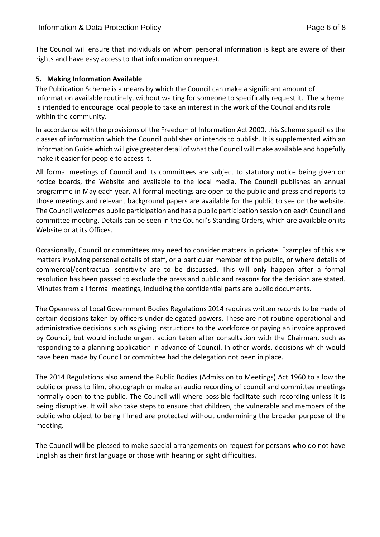The Council will ensure that individuals on whom personal information is kept are aware of their rights and have easy access to that information on request.

### **5. Making Information Available**

The Publication Scheme is a means by which the Council can make a significant amount of information available routinely, without waiting for someone to specifically request it. The scheme is intended to encourage local people to take an interest in the work of the Council and its role within the community.

In accordance with the provisions of the Freedom of Information Act 2000, this Scheme specifies the classes of information which the Council publishes or intends to publish. It is supplemented with an Information Guide which will give greater detail of what the Council will make available and hopefully make it easier for people to access it.

All formal meetings of Council and its committees are subject to statutory notice being given on notice boards, the Website and available to the local media. The Council publishes an annual programme in May each year. All formal meetings are open to the public and press and reports to those meetings and relevant background papers are available for the public to see on the website. The Council welcomes public participation and has a public participation session on each Council and committee meeting. Details can be seen in the Council's Standing Orders, which are available on its Website or at its Offices.

Occasionally, Council or committees may need to consider matters in private. Examples of this are matters involving personal details of staff, or a particular member of the public, or where details of commercial/contractual sensitivity are to be discussed. This will only happen after a formal resolution has been passed to exclude the press and public and reasons for the decision are stated. Minutes from all formal meetings, including the confidential parts are public documents.

The Openness of Local Government Bodies Regulations 2014 requires written records to be made of certain decisions taken by officers under delegated powers. These are not routine operational and administrative decisions such as giving instructions to the workforce or paying an invoice approved by Council, but would include urgent action taken after consultation with the Chairman, such as responding to a planning application in advance of Council. In other words, decisions which would have been made by Council or committee had the delegation not been in place.

The 2014 Regulations also amend the Public Bodies (Admission to Meetings) Act 1960 to allow the public or press to film, photograph or make an audio recording of council and committee meetings normally open to the public. The Council will where possible facilitate such recording unless it is being disruptive. It will also take steps to ensure that children, the vulnerable and members of the public who object to being filmed are protected without undermining the broader purpose of the meeting.

The Council will be pleased to make special arrangements on request for persons who do not have English as their first language or those with hearing or sight difficulties.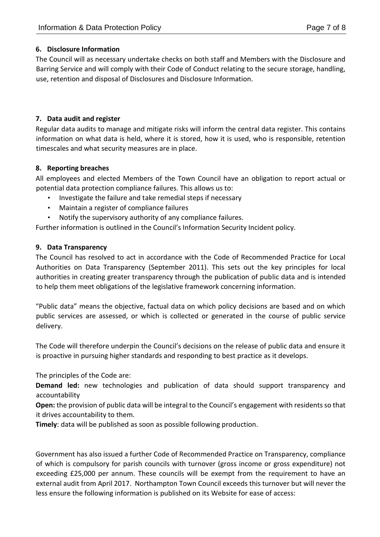### **6. Disclosure Information**

The Council will as necessary undertake checks on both staff and Members with the Disclosure and Barring Service and will comply with their Code of Conduct relating to the secure storage, handling, use, retention and disposal of Disclosures and Disclosure Information.

### **7. Data audit and register**

Regular data audits to manage and mitigate risks will inform the central data register. This contains information on what data is held, where it is stored, how it is used, who is responsible, retention timescales and what security measures are in place.

# **8. Reporting breaches**

All employees and elected Members of the Town Council have an obligation to report actual or potential data protection compliance failures. This allows us to:

- Investigate the failure and take remedial steps if necessary
- Maintain a register of compliance failures
- Notify the supervisory authority of any compliance failures.

Further information is outlined in the Council's Information Security Incident policy.

# **9. Data Transparency**

The Council has resolved to act in accordance with the Code of Recommended Practice for Local Authorities on Data Transparency (September 2011). This sets out the key principles for local authorities in creating greater transparency through the publication of public data and is intended to help them meet obligations of the legislative framework concerning information.

"Public data" means the objective, factual data on which policy decisions are based and on which public services are assessed, or which is collected or generated in the course of public service delivery.

The Code will therefore underpin the Council's decisions on the release of public data and ensure it is proactive in pursuing higher standards and responding to best practice as it develops.

The principles of the Code are:

**Demand led:** new technologies and publication of data should support transparency and accountability

**Open:** the provision of public data will be integral to the Council's engagement with residents so that it drives accountability to them.

**Timely**: data will be published as soon as possible following production.

Government has also issued a further Code of Recommended Practice on Transparency, compliance of which is compulsory for parish councils with turnover (gross income or gross expenditure) not exceeding £25,000 per annum. These councils will be exempt from the requirement to have an external audit from April 2017. Northampton Town Council exceeds this turnover but will never the less ensure the following information is published on its Website for ease of access: